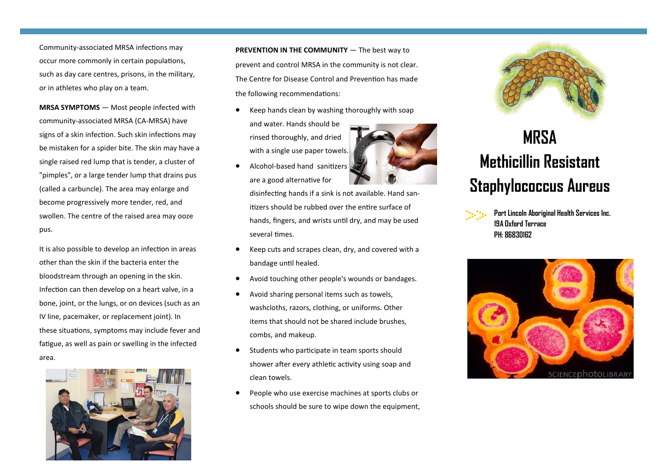Community-associated MRSA infections may occur more commonly in certain populations, such as day care centres, prisons, in the military, or in athletes who play on a team.

**MRSA SYMPTOMS** — Most people infected with community-associated MRSA (CA-MRSA) have signs of a skin infection. Such skin infections may be mistaken for a spider bite. The skin may have a single raised red lump that is tender, a cluster of "pimples", or a large tender lump that drains pus (called a carbuncle). The area may enlarge and become progressively more tender, red, and swollen. The centre of the raised area may ooze pus.

It is also possible to develop an infection in areas other than the skin if the bacteria enter the bloodstream through an opening in the skin. Infection can then develop on a heart valve, in a bone, joint, or the lungs, or on devices (such as an IV line, pacemaker, or replacement joint). In these situations, symptoms may include fever and fatigue, as well as pain or swelling in the infected area.



**PREVENTION IN THE COMMUNITY** — The best way to prevent and control MRSA in the community is not clear. The Centre for Disease Control and Prevention has made the following recommendations:

- Keep hands clean by washing thoroughly with soap and water. Hands should be rinsed thoroughly, and dried with a single use paper towels.
- Alcohol-based hand sanitizers are a good alternative for

disinfecting hands if a sink is not available. Hand sanitizers should be rubbed over the entire surface of hands, fingers, and wrists until dry, and may be used several times.

- Keep cuts and scrapes clean, dry, and covered with a bandage until healed.
- Avoid touching other people's wounds or bandages.
- Avoid sharing personal items such as towels, washcloths, razors, clothing, or uniforms. Other items that should not be shared include brushes, combs, and makeup.
- Students who participate in team sports should shower after every athletic activity using soap and clean towels.
- People who use exercise machines at sports clubs or schools should be sure to wipe down the equipment,



## **MRSA Methicillin Resistant Staphylococcus Aureus**



**Port Lincoln Aboriginal Health Services Inc. 19A Oxford Terrace PH: 86830162**